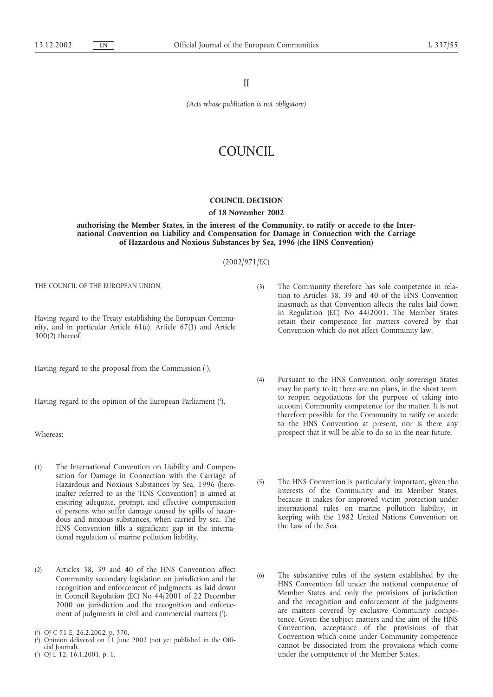II

*(Acts whose publication is not obligatory)*

# COUNCIL

# **COUNCIL DECISION**

### **of 18 November 2002**

**authorising the Member States, in the interest of the Community, to ratify or accede to the International Convention on Liability and Compensation for Damage in Connection with the Carriage of Hazardous and Noxious Substances by Sea, 1996 (the HNS Convention)**

(2002/971/EC)

THE COUNCIL OF THE EUROPEAN UNION,

Having regard to the Treaty establishing the European Community, and in particular Article 61(c), Article 67(1) and Article 300(2) thereof,

Having regard to the proposal from the Commission (1 ),

Having regard to the opinion of the European Parliament (2),

Whereas:

- (1) The International Convention on Liability and Compensation for Damage in Connection with the Carriage of Hazardous and Noxious Substances by Sea, 1996 (hereinafter referred to as the 'HNS Convention') is aimed at ensuring adequate, prompt, and effective compensation of persons who suffer damage caused by spills of hazardous and noxious substances, when carried by sea. The HNS Convention fills a significant gap in the international regulation of marine pollution liability.
- (2) Articles 38, 39 and 40 of the HNS Convention affect Community secondary legislation on jurisdiction and the recognition and enforcement of judgments, as laid down in Council Regulation (EC) No 44/2001 of 22 December 2000 on jurisdiction and the recognition and enforcement of judgments in civil and commercial matters (3 ).
- (3) The Community therefore has sole competence in relation to Articles 38, 39 and 40 of the HNS Convention inasmuch as that Convention affects the rules laid down in Regulation (EC) No 44/2001. The Member States retain their competence for matters covered by that Convention which do not affect Community law.
- (4) Pursuant to the HNS Convention, only sovereign States may be party to it; there are no plans, in the short term, to reopen negotiations for the purpose of taking into account Community competence for the matter. It is not therefore possible for the Community to ratify or accede to the HNS Convention at present, nor is there any prospect that it will be able to do so in the near future.
- (5) The HNS Convention is particularly important, given the interests of the Community and its Member States, because it makes for improved victim protection under international rules on marine pollution liability, in keeping with the 1982 United Nations Convention on the Law of the Sea.
- (6) The substantive rules of the system established by the HNS Convention fall under the national competence of Member States and only the provisions of jurisdiction and the recognition and enforcement of the judgments are matters covered by exclusive Community competence. Given the subject matters and the aim of the HNS Convention, acceptance of the provisions of that Convention which come under Community competence cannot be dissociated from the provisions which come under the competence of the Member States.

<sup>(</sup> 1 ) OJ C 51 E, 26.2.2002, p. 370.

<sup>(</sup> 2 ) Opinion delivered on 11 June 2002 (not yet published in the Official Journal).

<sup>(</sup> 3 ) OJ L 12, 16.1.2001, p. 1.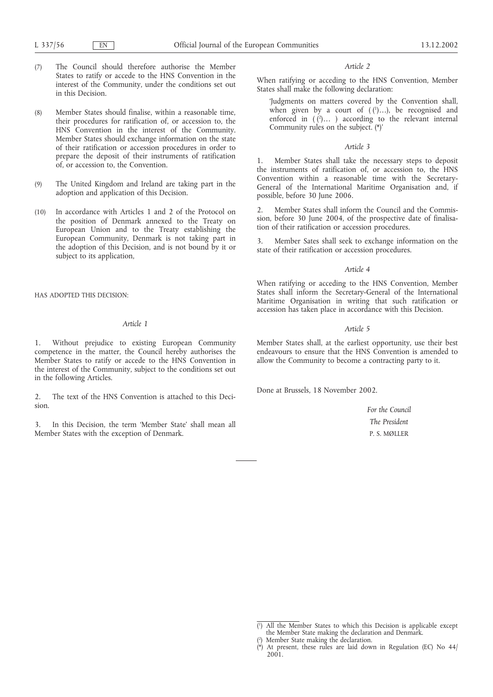- (7) The Council should therefore authorise the Member States to ratify or accede to the HNS Convention in the interest of the Community, under the conditions set out in this Decision.
- (8) Member States should finalise, within a reasonable time, their procedures for ratification of, or accession to, the HNS Convention in the interest of the Community. Member States should exchange information on the state of their ratification or accession procedures in order to prepare the deposit of their instruments of ratification of, or accession to, the Convention.
- (9) The United Kingdom and Ireland are taking part in the adoption and application of this Decision.
- (10) In accordance with Articles 1 and 2 of the Protocol on the position of Denmark annexed to the Treaty on European Union and to the Treaty establishing the European Community, Denmark is not taking part in the adoption of this Decision, and is not bound by it or subject to its application,

HAS ADOPTED THIS DECISION:

# *Article 1*

1. Without prejudice to existing European Community competence in the matter, the Council hereby authorises the Member States to ratify or accede to the HNS Convention in the interest of the Community, subject to the conditions set out in the following Articles.

2. The text of the HNS Convention is attached to this Decision.

3. In this Decision, the term 'Member State' shall mean all Member States with the exception of Denmark.

#### *Article 2*

When ratifying or acceding to the HNS Convention, Member States shall make the following declaration:

'Judgments on matters covered by the Convention shall, when given by a court of  $(1)$ ...), be recognised and enforced in  $(2)$ ...) according to the relevant internal Community rules on the subject. (\*)'

### *Article 3*

1. Member States shall take the necessary steps to deposit the instruments of ratification of, or accession to, the HNS Convention within a reasonable time with the Secretary-General of the International Maritime Organisation and, if possible, before 30 June 2006.

2. Member States shall inform the Council and the Commission, before 30 June 2004, of the prospective date of finalisation of their ratification or accession procedures.

3. Member Sates shall seek to exchange information on the state of their ratification or accession procedures.

#### *Article 4*

When ratifying or acceding to the HNS Convention, Member States shall inform the Secretary-General of the International Maritime Organisation in writing that such ratification or accession has taken place in accordance with this Decision.

#### *Article 5*

Member States shall, at the earliest opportunity, use their best endeavours to ensure that the HNS Convention is amended to allow the Community to become a contracting party to it.

Done at Brussels, 18 November 2002.

*For the Council The President* P. S. MØLLER

<sup>(</sup> 1 ) All the Member States towhich this Decision is applicable except the Member State making the declaration and Denmark.

<sup>(</sup> 2 ) Member State making the declaration.

<sup>(\*)</sup> At present, these rules are laid down in Regulation (EC) No 44/ 2001.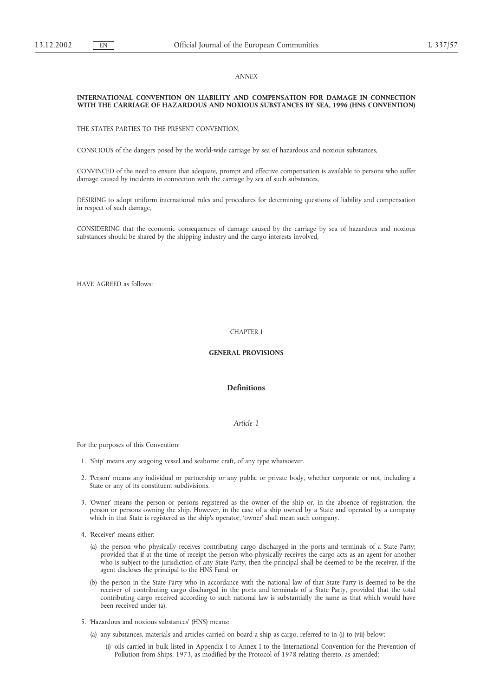### *ANNEX*

### **INTERNATIONAL CONVENTION ON LIABILITY AND COMPENSATION FOR DAMAGE IN CONNECTION WITH THE CARRIAGE OF HAZARDOUS AND NOXIOUS SUBSTANCES BY SEA, 1996 (HNS CONVENTION)**

THE STATES PARTIES TO THE PRESENT CONVENTION,

CONSCIOUS of the dangers posed by the world-wide carriage by sea of hazardous and noxious substances,

CONVINCED of the need to ensure that adequate, prompt and effective compensation is available to persons who suffer damage caused by incidents in connection with the carriage by sea of such substances,

DESIRING to adopt uniform international rules and procedures for determining questions of liability and compensation in respect of such damage,

CONSIDERING that the economic consequences of damage caused by the carriage by sea of hazardous and noxious substances should be shared by the shipping industry and the cargo interests involved,

HAVE AGREED as follows:

### CHAPTER I

### **GENERAL PROVISIONS**

### **Definitions**

### *Article 1*

For the purposes of this Convention:

- 1. 'Ship' means any seagoing vessel and seaborne craft, of any type whatsoever.
- 2. 'Person' means any individual or partnership or any public or private body, whether corporate or not, including a State or any of its constituent subdivisions.
- 3. 'Owner' means the person or persons registered as the owner of the ship or, in the absence of registration, the person or persons owning the ship. However, in the case of a ship owned by a State and operated by a company which in that State is registered as the ship's operator, 'owner' shall mean such company.
- 4. 'Receiver' means either:
	- (a) the person who physically receives contributing cargo discharged in the ports and terminals of a State Party; provided that if at the time of receipt the person who physically receives the cargo acts as an agent for another who is subject to the jurisdiction of any State Party, then the principal shall be deemed to be the receiver, if the agent discloses the principal to the HNS Fund; or
	- (b) the person in the State Party who in accordance with the national law of that State Party is deemed to be the receiver of contributing cargo discharged in the ports and terminals of a State Party, provided that the total contributing cargo received according to such national law is substantially the same as that which would have been received under (a).
- 5. 'Hazardous and noxious substances' (HNS) means:
	- (a) any substances, materials and articles carried on board a ship as cargo, referred to in (i) to (vii) below:
		- (i) oils carried in bulk listed in Appendix I to Annex I to the International Convention for the Prevention of Pollution from Ships, 1973, as modified by the Protocol of 1978 relating thereto, as amended;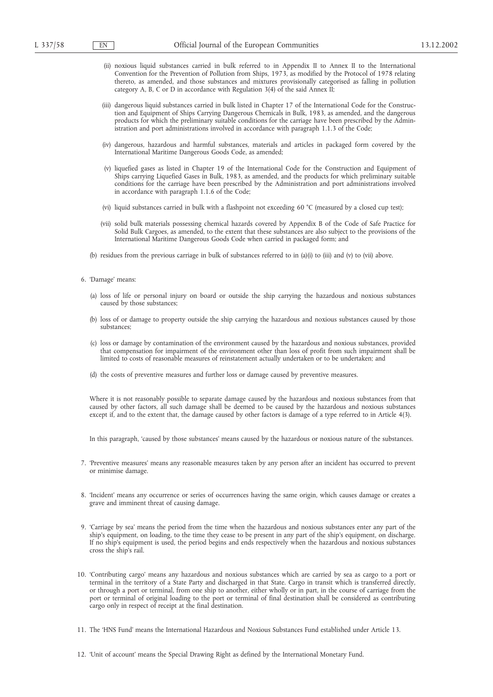- (ii) noxious liquid substances carried in bulk referred to in Appendix II to Annex II to the International Convention for the Prevention of Pollution from Ships, 1973, as modified by the Protocol of 1978 relating thereto, as amended, and those substances and mixtures provisionally categorised as falling in pollution category A, B, C or D in accordance with Regulation 3(4) of the said Annex II;
- (iii) dangerous liquid substances carried in bulk listed in Chapter 17 of the International Code for the Construction and Equipment of Ships Carrying Dangerous Chemicals in Bulk, 1983, as amended, and the dangerous products for which the preliminary suitable conditions for the carriage have been prescribed by the Administration and port administrations involved in accordance with paragraph 1.1.3 of the Code;
- (iv) dangerous, hazardous and harmful substances, materials and articles in packaged form covered by the International Maritime Dangerous Goods Code, as amended;
- (v) liquefied gases as listed in Chapter 19 of the International Code for the Construction and Equipment of Ships carrying Liquefied Gases in Bulk, 1983, as amended, and the products for which preliminary suitable conditions for the carriage have been prescribed by the Administration and port administrations involved in accordance with paragraph 1.1.6 of the Code;
- (vi) liquid substances carried in bulk with a flashpoint not exceeding 60 °C (measured by a closed cup test);
- (vii) solid bulk materials possessing chemical hazards covered by Appendix B of the Code of Safe Practice for Solid Bulk Cargoes, as amended, to the extent that these substances are also subject to the provisions of the International Maritime Dangerous Goods Code when carried in packaged form; and
- (b) residues from the previous carriage in bulk of substances referred to in (a)(i) to (iii) and (v) to (vii) above.
- 6. 'Damage' means:
	- (a) loss of life or personal injury on board or outside the ship carrying the hazardous and noxious substances caused by those substances;
	- (b) loss of or damage to property outside the ship carrying the hazardous and noxious substances caused by those substances;
	- (c) loss or damage by contamination of the environment caused by the hazardous and noxious substances, provided that compensation for impairment of the environment other than loss of profit from such impairment shall be limited to costs of reasonable measures of reinstatement actually undertaken or to be undertaken; and
	- (d) the costs of preventive measures and further loss or damage caused by preventive measures.

Where it is not reasonably possible to separate damage caused by the hazardous and noxious substances from that caused by other factors, all such damage shall be deemed to be caused by the hazardous and noxious substances except if, and to the extent that, the damage caused by other factors is damage of a type referred to in Article 4(3).

In this paragraph, 'caused by those substances' means caused by the hazardous or noxious nature of the substances.

- 7. 'Preventive measures' means any reasonable measures taken by any person after an incident has occurred to prevent or minimise damage.
- 8. 'Incident' means any occurrence or series of occurrences having the same origin, which causes damage or creates a grave and imminent threat of causing damage.
- 9. 'Carriage by sea' means the period from the time when the hazardous and noxious substances enter any part of the ship's equipment, on loading, to the time they cease to be present in any part of the ship's equipment, on discharge. If no ship's equipment is used, the period begins and ends respectively when the hazardous and noxious substances cross the ship's rail.
- 10. 'Contributing cargo' means any hazardous and noxious substances which are carried by sea as cargo to a port or terminal in the territory of a State Party and discharged in that State. Cargo in transit which is transferred directly, or through a port or terminal, from one ship to another, either wholly or in part, in the course of carriage from the port or terminal of original loading to the port or terminal of final destination shall be considered as contributing cargo only in respect of receipt at the final destination.
- 11. The 'HNS Fund' means the International Hazardous and Noxious Substances Fund established under Article 13.
- 12. 'Unit of account' means the Special Drawing Right as defined by the International Monetary Fund.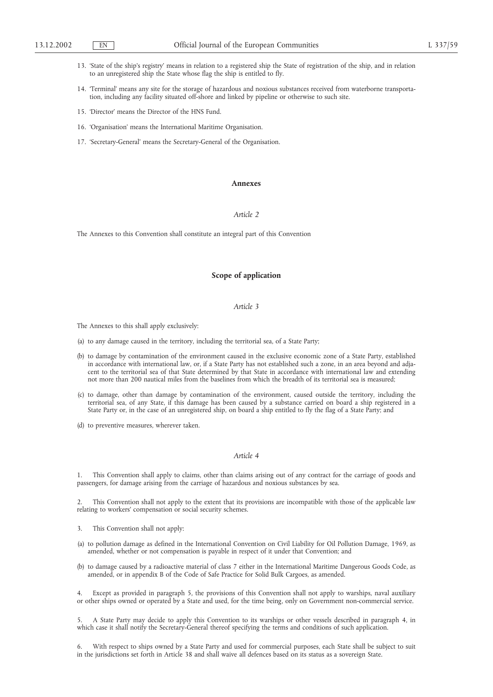- 13. 'State of the ship's registry' means in relation to a registered ship the State of registration of the ship, and in relation to an unregistered ship the State whose flag the ship is entitled to fly.
- 14. 'Terminal' means any site for the storage of hazardous and noxious substances received from waterborne transportation, including any facility situated off-shore and linked by pipeline or otherwise to such site.
- 15. 'Director' means the Director of the HNS Fund.
- 16. 'Organisation' means the International Maritime Organisation.
- 17. 'Secretary-General' means the Secretary-General of the Organisation.

#### **Annexes**

### *Article 2*

The Annexes to this Convention shall constitute an integral part of this Convention

# **Scope of application**

### *Article 3*

The Annexes to this shall apply exclusively:

- (a) to any damage caused in the territory, including the territorial sea, of a State Party;
- (b) to damage by contamination of the environment caused in the exclusive economic zone of a State Party, established in accordance with international law, or, if a State Party has not established such a zone, in an area beyond and adjacent to the territorial sea of that State determined by that State in accordance with international law and extending not more than 200 nautical miles from the baselines from which the breadth of its territorial sea is measured;
- (c) to damage, other than damage by contamination of the environment, caused outside the territory, including the territorial sea, of any State, if this damage has been caused by a substance carried on board a ship registered in a State Party or, in the case of an unregistered ship, on board a ship entitled to fly the flag of a State Party; and
- (d) to preventive measures, wherever taken.

# *Article 4*

1. This Convention shall apply to claims, other than claims arising out of any contract for the carriage of goods and passengers, for damage arising from the carriage of hazardous and noxious substances by sea.

This Convention shall not apply to the extent that its provisions are incompatible with those of the applicable law relating to workers' compensation or social security schemes.

- 3. This Convention shall not apply:
- (a) to pollution damage as defined in the International Convention on Civil Liability for Oil Pollution Damage, 1969, as amended, whether or not compensation is payable in respect of it under that Convention; and
- (b) to damage caused by a radioactive material of class 7 either in the International Maritime Dangerous Goods Code, as amended, or in appendix B of the Code of Safe Practice for Solid Bulk Cargoes, as amended.

Except as provided in paragraph 5, the provisions of this Convention shall not apply to warships, naval auxiliary or other ships owned or operated by a State and used, for the time being, only on Government non-commercial service.

5. A State Party may decide to apply this Convention to its warships or other vessels described in paragraph 4, in which case it shall notify the Secretary-General thereof specifying the terms and conditions of such application.

6. With respect to ships owned by a State Party and used for commercial purposes, each State shall be subject to suit in the jurisdictions set forth in Article 38 and shall waive all defences based on its status as a sovereign State.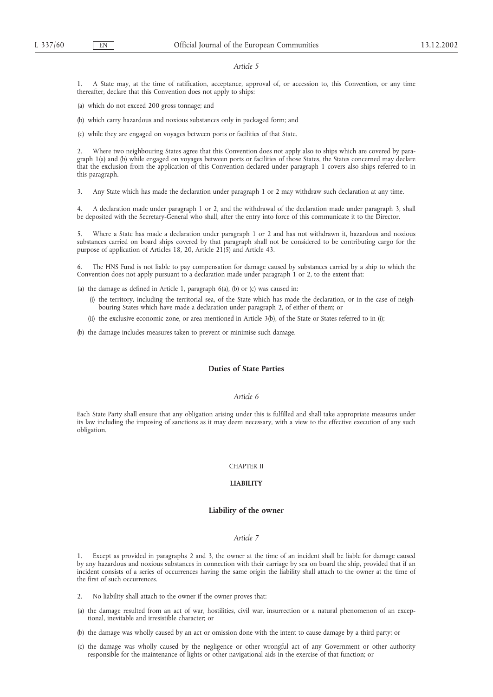#### *Article 5*

1. A State may, at the time of ratification, acceptance, approval of, or accession to, this Convention, or any time thereafter, declare that this Convention does not apply to ships:

(a) which do not exceed 200 gross tonnage; and

(b) which carry hazardous and noxious substances only in packaged form; and

(c) while they are engaged on voyages between ports or facilities of that State.

2. Where two neighbouring States agree that this Convention does not apply also to ships which are covered by paragraph 1(a) and (b) while engaged on voyages between ports or facilities of those States, the States concerned may declare that the exclusion from the application of this Convention declared under paragraph 1 covers also ships referred to in this paragraph.

3. Any State which has made the declaration under paragraph 1 or 2 may withdraw such declaration at any time.

4. A declaration made under paragraph 1 or 2, and the withdrawal of the declaration made under paragraph 3, shall be deposited with the Secretary-General who shall, after the entry into force of this communicate it to the Director.

5. Where a State has made a declaration under paragraph 1 or 2 and has not withdrawn it, hazardous and noxious substances carried on board ships covered by that paragraph shall not be considered to be contributing cargo for the purpose of application of Articles 18, 20, Article 21(5) and Article 43.

The HNS Fund is not liable to pay compensation for damage caused by substances carried by a ship to which the Convention does not apply pursuant to a declaration made under paragraph 1 or 2, to the extent that:

(a) the damage as defined in Article 1, paragraph 6(a), (b) or (c) was caused in:

- (i) the territory, including the territorial sea, of the State which has made the declaration, or in the case of neighbouring States which have made a declaration under paragraph 2, of either of them; or
- (ii) the exclusive economic zone, or area mentioned in Article 3(b), of the State or States referred to in (i);

(b) the damage includes measures taken to prevent or minimise such damage.

### **Duties of State Parties**

# *Article 6*

Each State Party shall ensure that any obligation arising under this is fulfilled and shall take appropriate measures under its law including the imposing of sanctions as it may deem necessary, with a view to the effective execution of any such obligation.

#### CHAPTER II

### **LIABILITY**

### **Liability of the owner**

### *Article 7*

Except as provided in paragraphs 2 and 3, the owner at the time of an incident shall be liable for damage caused by any hazardous and noxious substances in connection with their carriage by sea on board the ship, provided that if an incident consists of a series of occurrences having the same origin the liability shall attach to the owner at the time of the first of such occurrences.

- 2. No liability shall attach to the owner if the owner proves that:
- (a) the damage resulted from an act of war, hostilities, civil war, insurrection or a natural phenomenon of an exceptional, inevitable and irresistible character; or
- (b) the damage was wholly caused by an act or omission done with the intent to cause damage by a third party; or
- (c) the damage was wholly caused by the negligence or other wrongful act of any Government or other authority responsible for the maintenance of lights or other navigational aids in the exercise of that function; or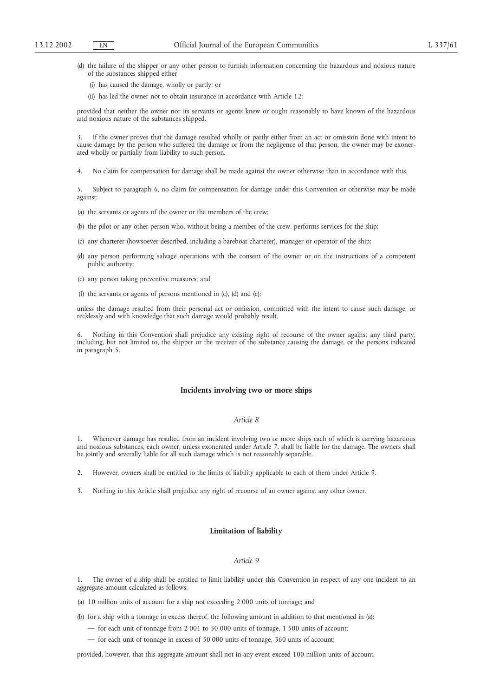- (d) the failure of the shipper or any other person to furnish information concerning the hazardous and noxious nature of the substances shipped either
	- (i) has caused the damage, wholly or partly; or
	- (ii) has led the owner not to obtain insurance in accordance with Article 12;

provided that neither the owner nor its servants or agents knew or ought reasonably to have known of the hazardous and noxious nature of the substances shipped.

3. If the owner proves that the damage resulted wholly or partly either from an act or omission done with intent to cause damage by the person who suffered the damage or from the negligence of that person, the owner may be exonerated wholly or partially from liability to such person.

4. No claim for compensation for damage shall be made against the owner otherwise than in accordance with this.

5. Subject to paragraph 6, no claim for compensation for damage under this Convention or otherwise may be made against:

- (a) the servants or agents of the owner or the members of the crew;
- (b) the pilot or any other person who, without being a member of the crew, performs services for the ship;
- (c) any charterer (howsoever described, including a bareboat charterer), manager or operator of the ship;
- (d) any person performing salvage operations with the consent of the owner or on the instructions of a competent public authority;
- (e) any person taking preventive measures; and
- (f) the servants or agents of persons mentioned in (c), (d) and (e);

unless the damage resulted from their personal act or omission, committed with the intent to cause such damage, or recklessly and with knowledge that such damage would probably result.

6. Nothing in this Convention shall prejudice any existing right of recourse of the owner against any third party, including, but not limited to, the shipper or the receiver of the substance causing the damage, or the persons indicated in paragraph 5.

### **Incidents involving two or more ships**

### *Article 8*

1. Whenever damage has resulted from an incident involving two or more ships each of which is carrying hazardous and noxious substances, each owner, unless exonerated under Article 7, shall be liable for the damage. The owners shall be jointly and severally liable for all such damage which is not reasonably separable.

2. However, owners shall be entitled to the limits of liability applicable to each of them under Article 9.

3. Nothing in this Article shall prejudice any right of recourse of an owner against any other owner.

### **Limitation of liability**

# *Article 9*

1. The owner of a ship shall be entitled to limit liability under this Convention in respect of any one incident to an aggregate amount calculated as follows:

(a) 10 million units of account for a ship not exceeding 2 000 units of tonnage; and

(b) for a ship with a tonnage in excess thereof, the following amount in addition to that mentioned in (a):

- for each unit of tonnage from 2 001 to 50 000 units of tonnage, 1 500 units of account;
- for each unit of tonnage in excess of 50 000 units of tonnage, 360 units of account;

provided, however, that this aggregate amount shall not in any event exceed 100 million units of account.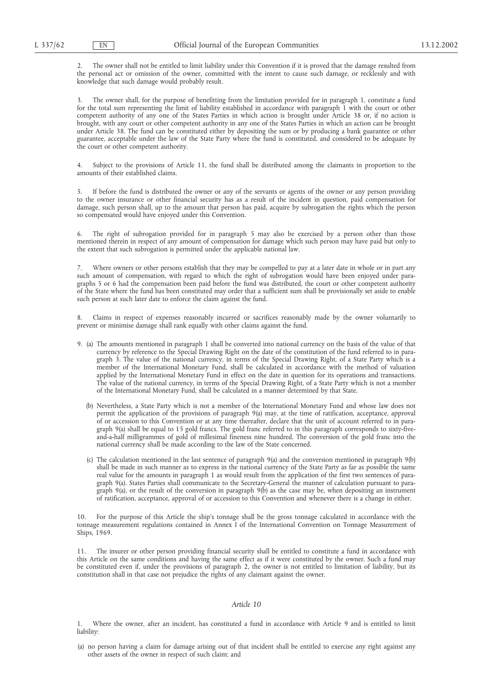2. The owner shall not be entitled to limit liability under this Convention if it is proved that the damage resulted from the personal act or omission of the owner, committed with the intent to cause such damage, or recklessly and with knowledge that such damage would probably result.

3. The owner shall, for the purpose of benefitting from the limitation provided for in paragraph 1, constitute a fund for the total sum representing the limit of liability established in accordance with paragraph 1 with the court or other competent authority of any one of the States Parties in which action is brought under Article 38 or, if no action is brought, with any court or other competent authority in any one of the States Parties in which an action can be brought under Article 38. The fund can be constituted either by depositing the sum or by producing a bank guarantee or other guarantee, acceptable under the law of the State Party where the fund is constituted, and considered to be adequate by the court or other competent authority.

4. Subject to the provisions of Article 11, the fund shall be distributed among the claimants in proportion to the amounts of their established claims.

5. If before the fund is distributed the owner or any of the servants or agents of the owner or any person providing to the owner insurance or other financial security has as a result of the incident in question, paid compensation for damage, such person shall, up to the amount that person has paid, acquire by subrogation the rights which the person so compensated would have enjoyed under this Convention.

6. The right of subrogation provided for in paragraph 5 may also be exercised by a person other than those mentioned therein in respect of any amount of compensation for damage which such person may have paid but only to the extent that such subrogation is permitted under the applicable national law.

7. Where owners or other persons establish that they may be compelled to pay at a later date in whole or in part any such amount of compensation, with regard to which the right of subrogation would have been enjoyed under paragraphs 5 or 6 had the compensation been paid before the fund was distributed, the court or other competent authority of the State where the fund has been constituted may order that a sufficient sum shall be provisionally set aside to enable such person at such later date to enforce the claim against the fund.

8. Claims in respect of expenses reasonably incurred or sacrifices reasonably made by the owner voluntarily to prevent or minimise damage shall rank equally with other claims against the fund.

- 9. (a) The amounts mentioned in paragraph 1 shall be converted into national currency on the basis of the value of that currency by reference to the Special Drawing Right on the date of the constitution of the fund referred to in paragraph 3. The value of the national currency, in terms of the Special Drawing Right, of a State Party which is a member of the International Monetary Fund, shall be calculated in accordance with the method of valuation applied by the International Monetary Fund in effect on the date in question for its operations and transactions. The value of the national currency, in terms of the Special Drawing Right, of a State Party which is not a member of the International Monetary Fund, shall be calculated in a manner determined by that State.
	- (b) Nevertheless, a State Party which is not a member of the International Monetary Fund and whose law does not permit the application of the provisions of paragraph 9(a) may, at the time of ratification, acceptance, approval of or accession to this Convention or at any time thereafter, declare that the unit of account referred to in paragraph 9(a) shall be equal to 15 gold francs. The gold franc referred to in this paragraph corresponds to sixty-fiveand-a-half milligrammes of gold of millesimal fineness nine hundred. The conversion of the gold franc into the national currency shall be made according to the law of the State concerned.
	- (c) The calculation mentioned in the last sentence of paragraph 9(a) and the conversion mentioned in paragraph 9(b) shall be made in such manner as to express in the national currency of the State Party as far as possible the same real value for the amounts in paragraph 1 as would result from the application of the first two sentences of paragraph 9(a). States Parties shall communicate to the Secretary-General the manner of calculation pursuant to paragraph 9(a), or the result of the conversion in paragraph 9(b) as the case may be, when depositing an instrument of ratification, acceptance, approval of or accession to this Convention and whenever there is a change in either.

10. For the purpose of this Article the ship's tonnage shall be the gross tonnage calculated in accordance with the tonnage measurement regulations contained in Annex I of the International Convention on Tonnage Measurement of Ships, 1969.

11. The insurer or other person providing financial security shall be entitled to constitute a fund in accordance with this Article on the same conditions and having the same effect as if it were constituted by the owner. Such a fund may be constituted even if, under the provisions of paragraph 2, the owner is not entitled to limitation of liability, but its constitution shall in that case not prejudice the rights of any claimant against the owner.

### *Article 10*

1. Where the owner, after an incident, has constituted a fund in accordance with Article 9 and is entitled to limit liability:

(a) no person having a claim for damage arising out of that incident shall be entitled to exercise any right against any other assets of the owner in respect of such claim; and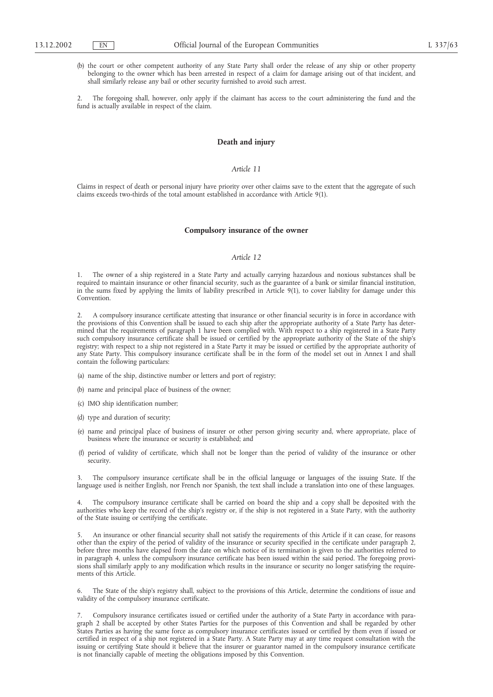(b) the court or other competent authority of any State Party shall order the release of any ship or other property belonging to the owner which has been arrested in respect of a claim for damage arising out of that incident, and shall similarly release any bail or other security furnished to avoid such arrest.

2. The foregoing shall, however, only apply if the claimant has access to the court administering the fund and the fund is actually available in respect of the claim.

### **Death and injury**

### *Article 11*

Claims in respect of death or personal injury have priority over other claims save to the extent that the aggregate of such claims exceeds two-thirds of the total amount established in accordance with Article 9(1).

### **Compulsory insurance of the owner**

#### *Article 12*

1. The owner of a ship registered in a State Party and actually carrying hazardous and noxious substances shall be required to maintain insurance or other financial security, such as the guarantee of a bank or similar financial institution, in the sums fixed by applying the limits of liability prescribed in Article 9(1), to cover liability for damage under this Convention.

2. A compulsory insurance certificate attesting that insurance or other financial security is in force in accordance with the provisions of this Convention shall be issued to each ship after the appropriate authority of a State Party has determined that the requirements of paragraph 1 have been complied with. With respect to a ship registered in a State Party such compulsory insurance certificate shall be issued or certified by the appropriate authority of the State of the ship's registry; with respect to a ship not registered in a State Party it may be issued or certified by the appropriate authority of any State Party. This compulsory insurance certificate shall be in the form of the model set out in Annex I and shall contain the following particulars:

- (a) name of the ship, distinctive number or letters and port of registry;
- (b) name and principal place of business of the owner;
- (c) IMO ship identification number;
- (d) type and duration of security;
- (e) name and principal place of business of insurer or other person giving security and, where appropriate, place of business where the insurance or security is established; and
- (f) period of validity of certificate, which shall not be longer than the period of validity of the insurance or other security.

3. The compulsory insurance certificate shall be in the official language or languages of the issuing State. If the language used is neither English, nor French nor Spanish, the text shall include a translation into one of these languages.

4. The compulsory insurance certificate shall be carried on board the ship and a copy shall be deposited with the authorities who keep the record of the ship's registry or, if the ship is not registered in a State Party, with the authority of the State issuing or certifying the certificate.

5. An insurance or other financial security shall not satisfy the requirements of this Article if it can cease, for reasons other than the expiry of the period of validity of the insurance or security specified in the certificate under paragraph 2, before three months have elapsed from the date on which notice of its termination is given to the authorities referred to in paragraph 4, unless the compulsory insurance certificate has been issued within the said period. The foregoing provisions shall similarly apply to any modification which results in the insurance or security no longer satisfying the requirements of this Article.

6. The State of the ship's registry shall, subject to the provisions of this Article, determine the conditions of issue and validity of the compulsory insurance certificate.

7. Compulsory insurance certificates issued or certified under the authority of a State Party in accordance with paragraph 2 shall be accepted by other States Parties for the purposes of this Convention and shall be regarded by other States Parties as having the same force as compulsory insurance certificates issued or certified by them even if issued or certified in respect of a ship not registered in a State Party. A State Party may at any time request consultation with the issuing or certifying State should it believe that the insurer or guarantor named in the compulsory insurance certificate is not financially capable of meeting the obligations imposed by this Convention.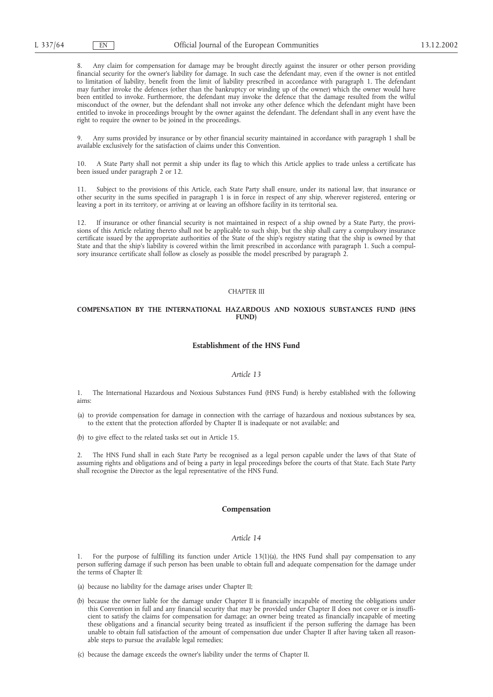Any claim for compensation for damage may be brought directly against the insurer or other person providing financial security for the owner's liability for damage. In such case the defendant may, even if the owner is not entitled to limitation of liability, benefit from the limit of liability prescribed in accordance with paragraph 1. The defendant may further invoke the defences (other than the bankruptcy or winding up of the owner) which the owner would have been entitled to invoke. Furthermore, the defendant may invoke the defence that the damage resulted from the wilful misconduct of the owner, but the defendant shall not invoke any other defence which the defendant might have been entitled to invoke in proceedings brought by the owner against the defendant. The defendant shall in any event have the right to require the owner to be joined in the proceedings.

9. Any sums provided by insurance or by other financial security maintained in accordance with paragraph 1 shall be available exclusively for the satisfaction of claims under this Convention.

10. A State Party shall not permit a ship under its flag to which this Article applies to trade unless a certificate has been issued under paragraph 2 or 12.

Subject to the provisions of this Article, each State Party shall ensure, under its national law, that insurance or other security in the sums specified in paragraph 1 is in force in respect of any ship, wherever registered, entering or leaving a port in its territory, or arriving at or leaving an offshore facility in its territorial sea.

12. If insurance or other financial security is not maintained in respect of a ship owned by a State Party, the provisions of this Article relating thereto shall not be applicable to such ship, but the ship shall carry a compulsory insurance certificate issued by the appropriate authorities of the State of the ship's registry stating that the ship is owned by that State and that the ship's liability is covered within the limit prescribed in accordance with paragraph 1. Such a compulsory insurance certificate shall follow as closely as possible the model prescribed by paragraph 2.

#### CHAPTER III

### **COMPENSATION BY THE INTERNATIONAL HAZARDOUS AND NOXIOUS SUBSTANCES FUND (HNS FUND)**

### **Establishment of the HNS Fund**

### *Article 13*

1. The International Hazardous and Noxious Substances Fund (HNS Fund) is hereby established with the following aims:

- (a) to provide compensation for damage in connection with the carriage of hazardous and noxious substances by sea, to the extent that the protection afforded by Chapter II is inadequate or not available; and
- (b) to give effect to the related tasks set out in Article 15.

2. The HNS Fund shall in each State Party be recognised as a legal person capable under the laws of that State of assuming rights and obligations and of being a party in legal proceedings before the courts of that State. Each State Party shall recognise the Director as the legal representative of the HNS Fund.

#### **Compensation**

### *Article 14*

1. For the purpose of fulfilling its function under Article 13(1)(a), the HNS Fund shall pay compensation to any person suffering damage if such person has been unable to obtain full and adequate compensation for the damage under the terms of Chapter II:

- (a) because no liability for the damage arises under Chapter II;
- (b) because the owner liable for the damage under Chapter II is financially incapable of meeting the obligations under this Convention in full and any financial security that may be provided under Chapter II does not cover or is insufficient to satisfy the claims for compensation for damage; an owner being treated as financially incapable of meeting these obligations and a financial security being treated as insufficient if the person suffering the damage has been unable to obtain full satisfaction of the amount of compensation due under Chapter II after having taken all reasonable steps to pursue the available legal remedies;

(c) because the damage exceeds the owner's liability under the terms of Chapter II.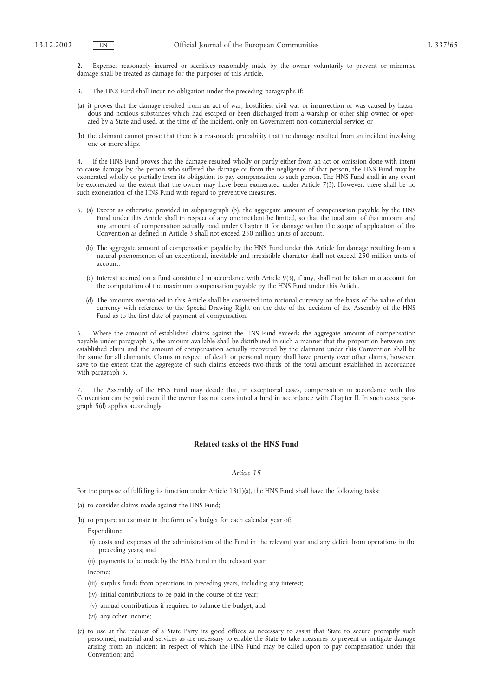2. Expenses reasonably incurred or sacrifices reasonably made by the owner voluntarily to prevent or minimise damage shall be treated as damage for the purposes of this Article.

- The HNS Fund shall incur no obligation under the preceding paragraphs if:
- (a) it proves that the damage resulted from an act of war, hostilities, civil war or insurrection or was caused by hazardous and noxious substances which had escaped or been discharged from a warship or other ship owned or operated by a State and used, at the time of the incident, only on Government non-commercial service; or
- (b) the claimant cannot prove that there is a reasonable probability that the damage resulted from an incident involving one or more ships.

4. If the HNS Fund proves that the damage resulted wholly or partly either from an act or omission done with intent to cause damage by the person who suffered the damage or from the negligence of that person, the HNS Fund may be exonerated wholly or partially from its obligation to pay compensation to such person. The HNS Fund shall in any event be exonerated to the extent that the owner may have been exonerated under Article 7(3). However, there shall be no such exoneration of the HNS Fund with regard to preventive measures.

- 5. (a) Except as otherwise provided in subparagraph (b), the aggregate amount of compensation payable by the HNS Fund under this Article shall in respect of any one incident be limited, so that the total sum of that amount and any amount of compensation actually paid under Chapter II for damage within the scope of application of this Convention as defined in Article 3 shall not exceed 250 million units of account.
	- (b) The aggregate amount of compensation payable by the HNS Fund under this Article for damage resulting from a natural phenomenon of an exceptional, inevitable and irresistible character shall not exceed 250 million units of account.
	- (c) Interest accrued on a fund constituted in accordance with Article 9(3), if any, shall not be taken into account for the computation of the maximum compensation payable by the HNS Fund under this Article.
	- (d) The amounts mentioned in this Article shall be converted into national currency on the basis of the value of that currency with reference to the Special Drawing Right on the date of the decision of the Assembly of the HNS Fund as to the first date of payment of compensation.

6. Where the amount of established claims against the HNS Fund exceeds the aggregate amount of compensation payable under paragraph 5, the amount available shall be distributed in such a manner that the proportion between any established claim and the amount of compensation actually recovered by the claimant under this Convention shall be the same for all claimants. Claims in respect of death or personal injury shall have priority over other claims, however, save to the extent that the aggregate of such claims exceeds two-thirds of the total amount established in accordance with paragraph 5.

The Assembly of the HNS Fund may decide that, in exceptional cases, compensation in accordance with this Convention can be paid even if the owner has not constituted a fund in accordance with Chapter II. In such cases paragraph 5(d) applies accordingly.

# **Related tasks of the HNS Fund**

# *Article 15*

For the purpose of fulfilling its function under Article 13(1)(a), the HNS Fund shall have the following tasks:

- (a) to consider claims made against the HNS Fund;
- (b) to prepare an estimate in the form of a budget for each calendar year of: Expenditure:
	- (i) costs and expenses of the administration of the Fund in the relevant year and any deficit from operations in the preceding years; and
	- (ii) payments tobe made by the HNS Fund in the relevant year;

Income:

- (iii) surplus funds from operations in preceding years, including any interest;
- (iv) initial contributions to be paid in the course of the year;
- (v) annual contributions if required to balance the budget; and
- (vi) any other income;
- (c) to use at the request of a State Party its good offices as necessary to assist that State to secure promptly such personnel, material and services as are necessary to enable the State to take measures to prevent or mitigate damage arising from an incident in respect of which the HNS Fund may be called upon to pay compensation under this Convention; and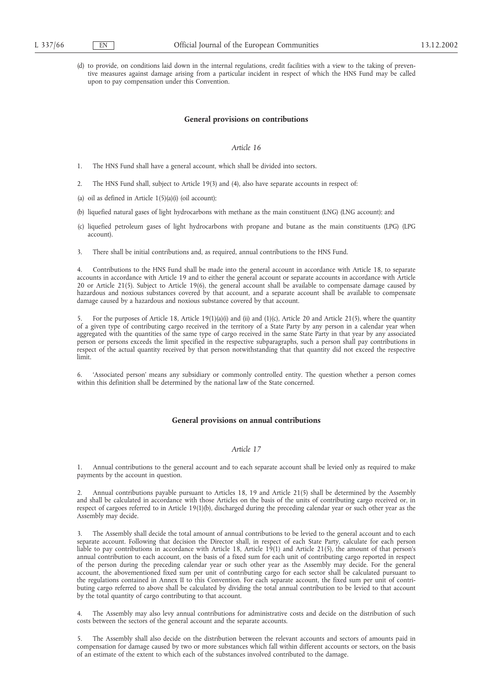(d) to provide, on conditions laid down in the internal regulations, credit facilities with a view to the taking of preventive measures against damage arising from a particular incident in respect of which the HNS Fund may be called upon to pay compensation under this Convention.

#### **General provisions on contributions**

### *Article 16*

- 1. The HNS Fund shall have a general account, which shall be divided into sectors.
- 2. The HNS Fund shall, subject to Article 19(3) and (4), also have separate accounts in respect of:
- (a) oil as defined in Article  $1(5)(a)(i)$  (oil account);
- (b) liquefied natural gases of light hydrocarbons with methane as the main constituent (LNG) (LNG account); and
- (c) liquefied petroleum gases of light hydrocarbons with propane and butane as the main constituents (LPG) (LPG account).
- 3. There shall be initial contributions and, as required, annual contributions to the HNS Fund.

4. Contributions to the HNS Fund shall be made into the general account in accordance with Article 18, to separate accounts in accordance with Article 19 and to either the general account or separate accounts in accordance with Article 20 or Article 21(5). Subject to Article 19(6), the general account shall be available to compensate damage caused by hazardous and noxious substances covered by that account, and a separate account shall be available to compensate damage caused by a hazardous and noxious substance covered by that account.

5. For the purposes of Article 18, Article 19(1)(a)(i) and (ii) and (1)(c), Article 20 and Article 21(5), where the quantity of a given type of contributing cargo received in the territory of a State Party by any person in a calendar year when aggregated with the quantities of the same type of cargo received in the same State Party in that year by any associated person or persons exceeds the limit specified in the respective subparagraphs, such a person shall pay contributions in respect of the actual quantity received by that person notwithstanding that that quantity did not exceed the respective limit.

6. 'Associated person' means any subsidiary or commonly controlled entity. The question whether a person comes within this definition shall be determined by the national law of the State concerned.

### **General provisions on annual contributions**

# *Article 17*

1. Annual contributions to the general account and to each separate account shall be levied only as required to make payments by the account in question.

2. Annual contributions payable pursuant to Articles 18, 19 and Article 21(5) shall be determined by the Assembly and shall be calculated in accordance with those Articles on the basis of the units of contributing cargo received or, in respect of cargoes referred to in Article 19(1)(b), discharged during the preceding calendar year or such other year as the Assembly may decide.

3. The Assembly shall decide the total amount of annual contributions to be levied to the general account and to each separate account. Following that decision the Director shall, in respect of each State Party, calculate for each person liable to pay contributions in accordance with Article 18, Article 19(1) and Article 21(5), the amount of that person's annual contribution to each account, on the basis of a fixed sum for each unit of contributing cargo reported in respect of the person during the preceding calendar year or such other year as the Assembly may decide. For the general account, the abovementioned fixed sum per unit of contributing cargo for each sector shall be calculated pursuant to the regulations contained in Annex II to this Convention. For each separate account, the fixed sum per unit of contributing cargo referred to above shall be calculated by dividing the total annual contribution to be levied to that account by the total quantity of cargo contributing to that account.

4. The Assembly may also levy annual contributions for administrative costs and decide on the distribution of such costs between the sectors of the general account and the separate accounts.

5. The Assembly shall also decide on the distribution between the relevant accounts and sectors of amounts paid in compensation for damage caused by two or more substances which fall within different accounts or sectors, on the basis of an estimate of the extent to which each of the substances involved contributed to the damage.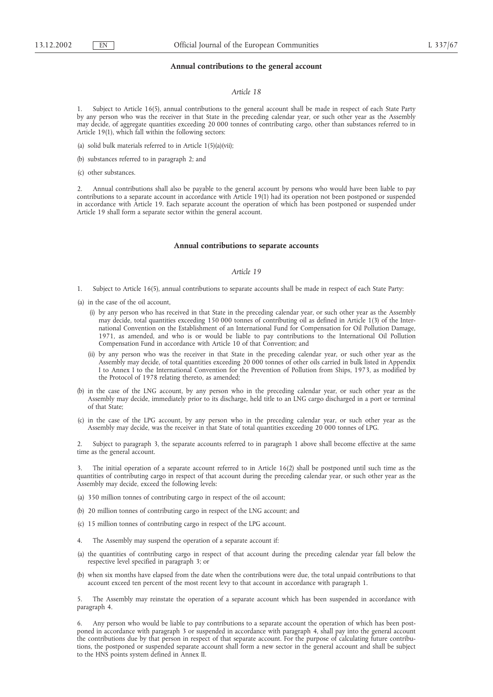### **Annual contributions to the general account**

#### *Article 18*

1. Subject to Article 16(5), annual contributions to the general account shall be made in respect of each State Party by any person who was the receiver in that State in the preceding calendar year, or such other year as the Assembly may decide, of aggregate quantities exceeding 20 000 tonnes of contributing cargo, other than substances referred to in Article 19(1), which fall within the following sectors:

- (a) solid bulk materials referred to in Article 1(5)(a)(vii);
- (b) substances referred to in paragraph 2; and
- (c) other substances.

2. Annual contributions shall also be payable to the general account by persons who would have been liable to pay contributions to a separate account in accordance with Article 19(1) had its operation not been postponed or suspended in accordance with Article 19. Each separate account the operation of which has been postponed or suspended under Article 19 shall form a separate sector within the general account.

#### **Annual contributions to separate accounts**

#### *Article 19*

- 1. Subject to Article 16(5), annual contributions to separate accounts shall be made in respect of each State Party:
- (a) in the case of the oil account,
	- (i) by any person who has received in that State in the preceding calendar year, or such other year as the Assembly may decide, total quantities exceeding 150 000 tonnes of contributing oil as defined in Article 1(3) of the International Convention on the Establishment of an International Fund for Compensation for Oil Pollution Damage, 1971, as amended, and who is or would be liable to pay contributions to the International Oil Pollution Compensation Fund in accordance with Article 10 of that Convention; and
	- (ii) by any person who was the receiver in that State in the preceding calendar year, or such other year as the Assembly may decide, of total quantities exceeding 20 000 tonnes of other oils carried in bulk listed in Appendix I to Annex I to the International Convention for the Prevention of Pollution from Ships, 1973, as modified by the Protocol of 1978 relating thereto, as amended;
- (b) in the case of the LNG account, by any person who in the preceding calendar year, or such other year as the Assembly may decide, immediately prior to its discharge, held title to an LNG cargo discharged in a port or terminal of that State;
- (c) in the case of the LPG account, by any person who in the preceding calendar year, or such other year as the Assembly may decide, was the receiver in that State of total quantities exceeding 20 000 tonnes of LPG.

Subject to paragraph 3, the separate accounts referred to in paragraph 1 above shall become effective at the same time as the general account.

The initial operation of a separate account referred to in Article  $16(2)$  shall be postponed until such time as the quantities of contributing cargo in respect of that account during the preceding calendar year, or such other year as the Assembly may decide, exceed the following levels:

- (a) 350 million tonnes of contributing cargo in respect of the oil account;
- (b) 20 million tonnes of contributing cargo in respect of the LNG account; and
- (c) 15 million tonnes of contributing cargo in respect of the LPG account.
- The Assembly may suspend the operation of a separate account if:
- (a) the quantities of contributing cargo in respect of that account during the preceding calendar year fall below the respective level specified in paragraph 3; or
- (b) when six months have elapsed from the date when the contributions were due, the total unpaid contributions to that account exceed ten percent of the most recent levy to that account in accordance with paragraph 1.

5. The Assembly may reinstate the operation of a separate account which has been suspended in accordance with paragraph 4.

6. Any person who would be liable to pay contributions to a separate account the operation of which has been postponed in accordance with paragraph 3 or suspended in accordance with paragraph 4, shall pay into the general account the contributions due by that person in respect of that separate account. For the purpose of calculating future contributions, the postponed or suspended separate account shall form a new sector in the general account and shall be subject to the HNS points system defined in Annex II.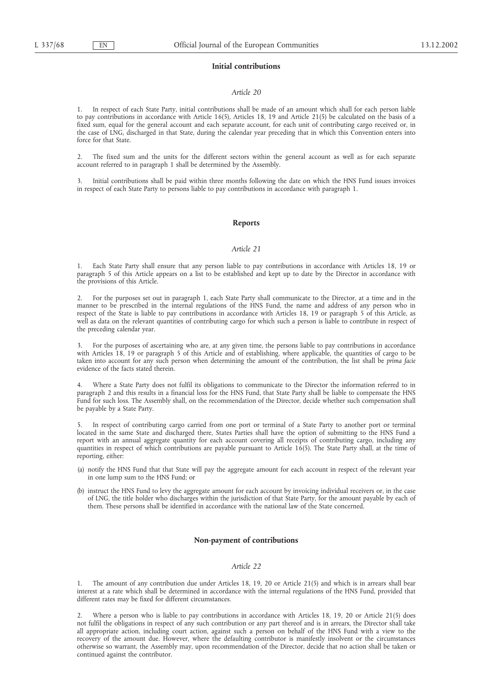#### **Initial contributions**

### *Article 20*

1. In respect of each State Party, initial contributions shall be made of an amount which shall for each person liable to pay contributions in accordance with Article 16(5), Articles 18, 19 and Article 21(5) be calculated on the basis of a fixed sum, equal for the general account and each separate account, for each unit of contributing cargo received or, in the case of LNG, discharged in that State, during the calendar year preceding that in which this Convention enters into force for that State.

2. The fixed sum and the units for the different sectors within the general account as well as for each separate account referred to in paragraph 1 shall be determined by the Assembly.

3. Initial contributions shall be paid within three months following the date on which the HNS Fund issues invoices in respect of each State Party to persons liable to pay contributions in accordance with paragraph 1.

### **Reports**

### *Article 21*

1. Each State Party shall ensure that any person liable to pay contributions in accordance with Articles 18, 19 or paragraph 5 of this Article appears on a list to be established and kept up to date by the Director in accordance with the provisions of this Article.

2. For the purposes set out in paragraph 1, each State Party shall communicate to the Director, at a time and in the manner to be prescribed in the internal regulations of the HNS Fund, the name and address of any person who in respect of the State is liable to pay contributions in accordance with Articles 18, 19 or paragraph 5 of this Article, as well as data on the relevant quantities of contributing cargo for which such a person is liable to contribute in respect of the preceding calendar year.

3. For the purposes of ascertaining who are, at any given time, the persons liable to pay contributions in accordance with Articles 18, 19 or paragraph 5 of this Article and of establishing, where applicable, the quantities of cargo to be taken into account for any such person when determining the amount of the contribution, the list shall be *prima facie* evidence of the facts stated therein.

4. Where a State Party does not fulfil its obligations to communicate to the Director the information referred to in paragraph 2 and this results in a financial loss for the HNS Fund, that State Party shall be liable to compensate the HNS Fund for such loss. The Assembly shall, on the recommendation of the Director, decide whether such compensation shall be payable by a State Party.

In respect of contributing cargo carried from one port or terminal of a State Party to another port or terminal located in the same State and discharged there, States Parties shall have the option of submitting to the HNS Fund a report with an annual aggregate quantity for each account covering all receipts of contributing cargo, including any quantities in respect of which contributions are payable pursuant to Article 16(5). The State Party shall, at the time of reporting, either:

- (a) notify the HNS Fund that that State will pay the aggregate amount for each account in respect of the relevant year in one lump sum to the HNS Fund; or
- (b) instruct the HNS Fund to levy the aggregate amount for each account by invoicing individual receivers or, in the case of LNG, the title holder who discharges within the jurisdiction of that State Party, for the amount payable by each of them. These persons shall be identified in accordance with the national law of the State concerned.

### **Non-payment of contributions**

### *Article 22*

1. The amount of any contribution due under Articles 18, 19, 20 or Article 21(5) and which is in arrears shall bear interest at a rate which shall be determined in accordance with the internal regulations of the HNS Fund, provided that different rates may be fixed for different circumstances.

2. Where a person who is liable to pay contributions in accordance with Articles 18, 19, 20 or Article 21(5) does not fulfil the obligations in respect of any such contribution or any part thereof and is in arrears, the Director shall take all appropriate action, including court action, against such a person on behalf of the HNS Fund with a view to the recovery of the amount due. However, where the defaulting contributor is manifestly insolvent or the circumstances otherwise so warrant, the Assembly may, upon recommendation of the Director, decide that no action shall be taken or continued against the contributor.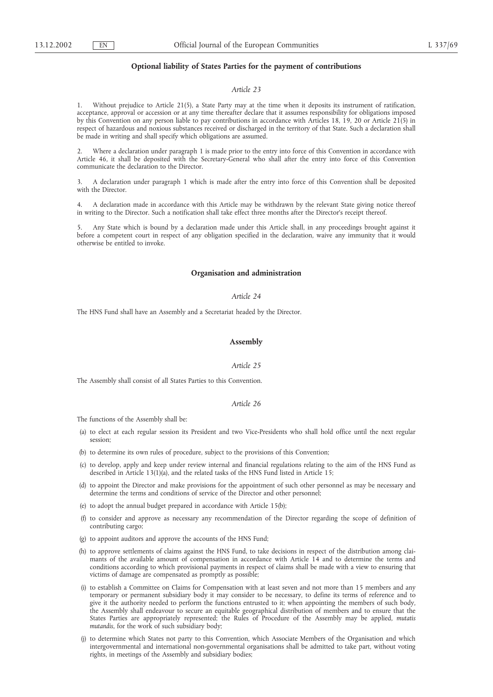### **Optional liability of States Parties for the payment of contributions**

### *Article 23*

1. Without prejudice to Article 21(5), a State Party may at the time when it deposits its instrument of ratification, acceptance, approval or accession or at any time thereafter declare that it assumes responsibility for obligations imposed by this Convention on any person liable to pay contributions in accordance with Articles 18, 19, 20 or Article 21(5) in respect of hazardous and noxious substances received or discharged in the territory of that State. Such a declaration shall be made in writing and shall specify which obligations are assumed.

2. Where a declaration under paragraph 1 is made prior to the entry into force of this Convention in accordance with Article 46, it shall be deposited with the Secretary-General who shall after the entry into force of this Convention communicate the declaration to the Director.

3. A declaration under paragraph 1 which is made after the entry into force of this Convention shall be deposited with the Director.

4. A declaration made in accordance with this Article may be withdrawn by the relevant State giving notice thereof in writing to the Director. Such a notification shall take effect three months after the Director's receipt thereof.

5. Any State which is bound by a declaration made under this Article shall, in any proceedings brought against it before a competent court in respect of any obligation specified in the declaration, waive any immunity that it would otherwise be entitled to invoke.

#### **Organisation and administration**

### *Article 24*

The HNS Fund shall have an Assembly and a Secretariat headed by the Director.

#### **Assembly**

#### *Article 25*

The Assembly shall consist of all States Parties to this Convention.

#### *Article 26*

The functions of the Assembly shall be:

- (a) to elect at each regular session its President and two Vice-Presidents who shall hold office until the next regular session;
- (b) to determine its own rules of procedure, subject to the provisions of this Convention;
- (c) to develop, apply and keep under review internal and financial regulations relating to the aim of the HNS Fund as described in Article 13(1)(a), and the related tasks of the HNS Fund listed in Article 15;
- (d) to appoint the Director and make provisions for the appointment of such other personnel as may be necessary and determine the terms and conditions of service of the Director and other personnel;
- (e) to adopt the annual budget prepared in accordance with Article 15(b);
- (f) to consider and approve as necessary any recommendation of the Director regarding the scope of definition of contributing cargo;
- (g) to appoint auditors and approve the accounts of the HNS Fund;
- (h) to approve settlements of claims against the HNS Fund, to take decisions in respect of the distribution among claimants of the available amount of compensation in accordance with Article 14 and to determine the terms and conditions according to which provisional payments in respect of claims shall be made with a view to ensuring that victims of damage are compensated as promptly as possible;
- (i) to establish a Committee on Claims for Compensation with at least seven and not more than 15 members and any temporary or permanent subsidiary body it may consider to be necessary, to define its terms of reference and to give it the authority needed to perform the functions entrusted to it; when appointing the members of such body, the Assembly shall endeavour to secure an equitable geographical distribution of members and to ensure that the States Parties are appropriately represented; the Rules of Procedure of the Assembly may be applied, *mutatis mutandis*, for the work of such subsidiary body;
- (j) to determine which States not party to this Convention, which Associate Members of the Organisation and which intergovernmental and international non-governmental organisations shall be admitted to take part, without voting rights, in meetings of the Assembly and subsidiary bodies;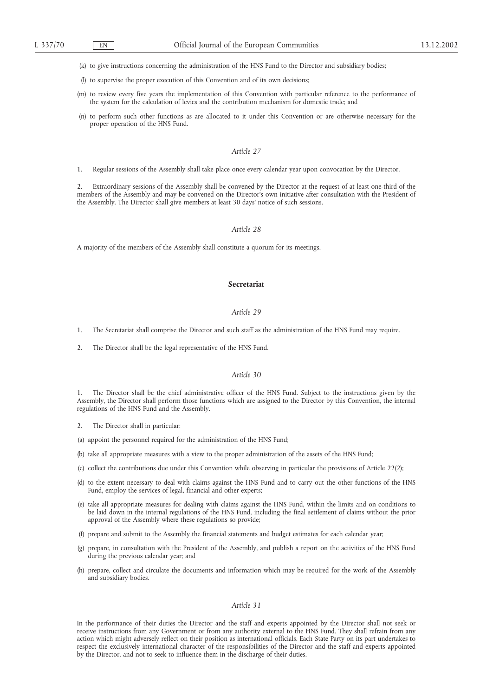- (k) to give instructions concerning the administration of the HNS Fund to the Director and subsidiary bodies;
- (l) to supervise the proper execution of this Convention and of its own decisions;
- (m) to review every five years the implementation of this Convention with particular reference to the performance of the system for the calculation of levies and the contribution mechanism for domestic trade; and
- (n) to perform such other functions as are allocated to it under this Convention or are otherwise necessary for the proper operation of the HNS Fund.

# *Article 27*

1. Regular sessions of the Assembly shall take place once every calendar year upon convocation by the Director.

2. Extraordinary sessions of the Assembly shall be convened by the Director at the request of at least one-third of the members of the Assembly and may be convened on the Director's own initiative after consultation with the President of the Assembly. The Director shall give members at least 30 days' notice of such sessions.

#### *Article 28*

A majority of the members of the Assembly shall constitute a quorum for its meetings.

### **Secretariat**

### *Article 29*

- 1. The Secretariat shall comprise the Director and such staff as the administration of the HNS Fund may require.
- 2. The Director shall be the legal representative of the HNS Fund.

### *Article 30*

1. The Director shall be the chief administrative officer of the HNS Fund. Subject to the instructions given by the Assembly, the Director shall perform those functions which are assigned to the Director by this Convention, the internal regulations of the HNS Fund and the Assembly.

- 2. The Director shall in particular:
- (a) appoint the personnel required for the administration of the HNS Fund;
- (b) take all appropriate measures with a view to the proper administration of the assets of the HNS Fund;
- (c) collect the contributions due under this Convention while observing in particular the provisions of Article 22(2);
- (d) to the extent necessary to deal with claims against the HNS Fund and to carry out the other functions of the HNS Fund, employ the services of legal, financial and other experts;
- (e) take all appropriate measures for dealing with claims against the HNS Fund, within the limits and on conditions to be laid down in the internal regulations of the HNS Fund, including the final settlement of claims without the prior approval of the Assembly where these regulations so provide;
- (f) prepare and submit tothe Assembly the financial statements and budget estimates for each calendar year;
- (g) prepare, in consultation with the President of the Assembly, and publish a report on the activities of the HNS Fund during the previous calendar year; and
- (h) prepare, collect and circulate the documents and information which may be required for the work of the Assembly and subsidiary bodies.

#### *Article 31*

In the performance of their duties the Director and the staff and experts appointed by the Director shall not seek or receive instructions from any Government or from any authority external to the HNS Fund. They shall refrain from any action which might adversely reflect on their position as international officials. Each State Party on its part undertakes to respect the exclusively international character of the responsibilities of the Director and the staff and experts appointed by the Director, and not to seek to influence them in the discharge of their duties.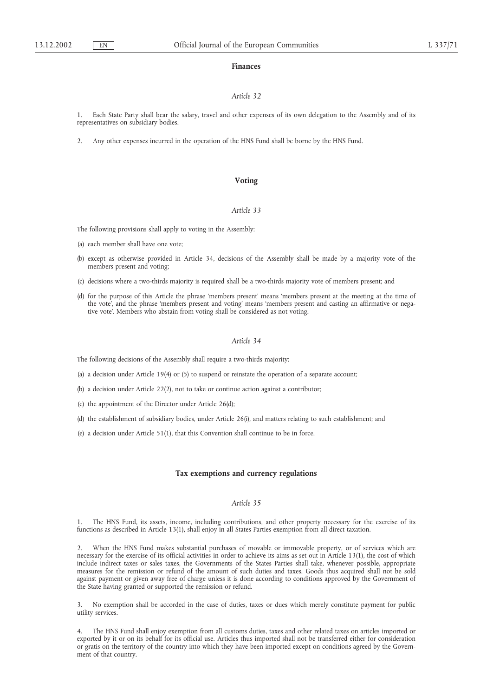#### **Finances**

# *Article 32*

1. Each State Party shall bear the salary, travel and other expenses of its own delegation to the Assembly and of its representatives on subsidiary bodies.

2. Any other expenses incurred in the operation of the HNS Fund shall be borne by the HNS Fund.

## **Voting**

# *Article 33*

The following provisions shall apply to voting in the Assembly:

- (a) each member shall have one vote;
- (b) except as otherwise provided in Article 34, decisions of the Assembly shall be made by a majority vote of the members present and voting;
- (c) decisions where a two-thirds majority is required shall be a two-thirds majority vote of members present; and
- (d) for the purpose of this Article the phrase 'members present' means 'members present at the meeting at the time of the vote', and the phrase 'members present and voting' means 'members present and casting an affirmative or negative vote'. Members who abstain from voting shall be considered as not voting.

# *Article 34*

The following decisions of the Assembly shall require a two-thirds majority:

- (a) a decision under Article 19(4) or (5) to suspend or reinstate the operation of a separate account;
- (b) a decision under Article 22(2), not to take or continue action against a contributor;
- (c) the appointment of the Director under Article 26(d);
- (d) the establishment of subsidiary bodies, under Article 26(i), and matters relating to such establishment; and
- (e) a decision under Article 51(1), that this Convention shall continue to be in force.

#### **Tax exemptions and currency regulations**

### *Article 35*

1. The HNS Fund, its assets, income, including contributions, and other property necessary for the exercise of its functions as described in Article 13(1), shall enjoy in all States Parties exemption from all direct taxation.

2. When the HNS Fund makes substantial purchases of movable or immovable property, or of services which are necessary for the exercise of its official activities in order to achieve its aims as set out in Article 13(1), the cost of which include indirect taxes or sales taxes, the Governments of the States Parties shall take, whenever possible, appropriate measures for the remission or refund of the amount of such duties and taxes. Goods thus acquired shall not be sold against payment or given away free of charge unless it is done according to conditions approved by the Government of the State having granted or supported the remission or refund.

3. No exemption shall be accorded in the case of duties, taxes or dues which merely constitute payment for public utility services.

4. The HNS Fund shall enjoy exemption from all customs duties, taxes and other related taxes on articles imported or exported by it or on its behalf for its official use. Articles thus imported shall not be transferred either for consideration or gratis on the territory of the country into which they have been imported except on conditions agreed by the Government of that country.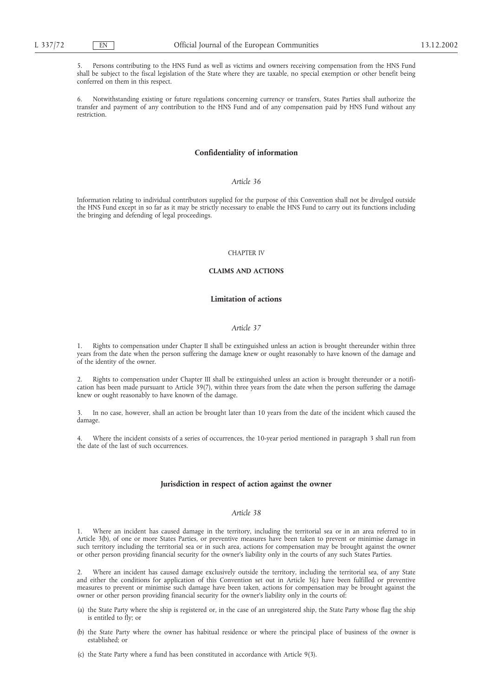5. Persons contributing to the HNS Fund as well as victims and owners receiving compensation from the HNS Fund shall be subject to the fiscal legislation of the State where they are taxable, no special exemption or other benefit being conferred on them in this respect.

6. Notwithstanding existing or future regulations concerning currency or transfers, States Parties shall authorize the transfer and payment of any contribution to the HNS Fund and of any compensation paid by HNS Fund without any restriction.

### **Confidentiality of information**

### *Article 36*

Information relating to individual contributors supplied for the purpose of this Convention shall not be divulged outside the HNS Fund except in so far as it may be strictly necessary to enable the HNS Fund to carry out its functions including the bringing and defending of legal proceedings.

### CHAPTER IV

### **CLAIMS AND ACTIONS**

### **Limitation of actions**

### *Article 37*

1. Rights to compensation under Chapter II shall be extinguished unless an action is brought thereunder within three years from the date when the person suffering the damage knew or ought reasonably to have known of the damage and of the identity of the owner.

2. Rights to compensation under Chapter III shall be extinguished unless an action is brought thereunder or a notification has been made pursuant to Article 39(7), within three years from the date when the person suffering the damage knew or ought reasonably to have known of the damage.

In no case, however, shall an action be brought later than 10 years from the date of the incident which caused the damage.

4. Where the incident consists of a series of occurrences, the 10-year period mentioned in paragraph 3 shall run from the date of the last of such occurrences.

# **Jurisdiction in respect of action against the owner**

#### *Article 38*

1. Where an incident has caused damage in the territory, including the territorial sea or in an area referred to in Article 3(b), of one or more States Parties, or preventive measures have been taken to prevent or minimise damage in such territory including the territorial sea or in such area, actions for compensation may be brought against the owner or other person providing financial security for the owner's liability only in the courts of any such States Parties.

2. Where an incident has caused damage exclusively outside the territory, including the territorial sea, of any State and either the conditions for application of this Convention set out in Article 3(c) have been fulfilled or preventive measures to prevent or minimise such damage have been taken, actions for compensation may be brought against the owner or other person providing financial security for the owner's liability only in the courts of:

- (a) the State Party where the ship is registered or, in the case of an unregistered ship, the State Party whose flag the ship is entitled to fly; or
- (b) the State Party where the owner has habitual residence or where the principal place of business of the owner is established; or
- (c) the State Party where a fund has been constituted in accordance with Article 9(3).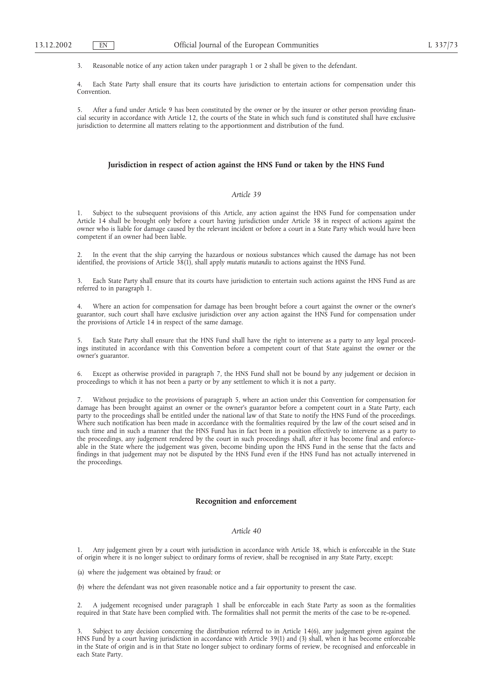3. Reasonable notice of any action taken under paragraph 1 or 2 shall be given to the defendant.

4. Each State Party shall ensure that its courts have jurisdiction to entertain actions for compensation under this Convention.

5. After a fund under Article 9 has been constituted by the owner or by the insurer or other person providing financial security in accordance with Article 12, the courts of the State in which such fund is constituted shall have exclusive jurisdiction to determine all matters relating to the apportionment and distribution of the fund.

### **Jurisdiction in respect of action against the HNS Fund or taken by the HNS Fund**

### *Article 39*

Subject to the subsequent provisions of this Article, any action against the HNS Fund for compensation under Article 14 shall be brought only before a court having jurisdiction under Article 38 in respect of actions against the owner who is liable for damage caused by the relevant incident or before a court in a State Party which would have been competent if an owner had been liable.

2. In the event that the ship carrying the hazardous or noxious substances which caused the damage has not been identified, the provisions of Article 38(1), shall apply *mutatis mutandis* to actions against the HNS Fund.

Each State Party shall ensure that its courts have jurisdiction to entertain such actions against the HNS Fund as are referred to in paragraph 1.

4. Where an action for compensation for damage has been brought before a court against the owner or the owner's guarantor, such court shall have exclusive jurisdiction over any action against the HNS Fund for compensation under the provisions of Article 14 in respect of the same damage.

5. Each State Party shall ensure that the HNS Fund shall have the right to intervene as a party to any legal proceedings instituted in accordance with this Convention before a competent court of that State against the owner or the owner's guarantor.

Except as otherwise provided in paragraph 7, the HNS Fund shall not be bound by any judgement or decision in proceedings to which it has not been a party or by any settlement to which it is not a party.

Without prejudice to the provisions of paragraph 5, where an action under this Convention for compensation for damage has been brought against an owner or the owner's guarantor before a competent court in a State Party, each party to the proceedings shall be entitled under the national law of that State to notify the HNS Fund of the proceedings. Where such notification has been made in accordance with the formalities required by the law of the court seised and in such time and in such a manner that the HNS Fund has in fact been in a position effectively to intervene as a party to the proceedings, any judgement rendered by the court in such proceedings shall, after it has become final and enforceable in the State where the judgement was given, become binding upon the HNS Fund in the sense that the facts and findings in that judgement may not be disputed by the HNS Fund even if the HNS Fund has not actually intervened in the proceedings.

### **Recognition and enforcement**

### *Article 40*

1. Any judgement given by a court with jurisdiction in accordance with Article 38, which is enforceable in the State of origin where it is no longer subject to ordinary forms of review, shall be recognised in any State Party, except:

(a) where the judgement was obtained by fraud; or

(b) where the defendant was not given reasonable notice and a fair opportunity to present the case.

2. A judgement recognised under paragraph 1 shall be enforceable in each State Party as soon as the formalities required in that State have been complied with. The formalities shall not permit the merits of the case to be re-opened.

Subject to any decision concerning the distribution referred to in Article 14(6), any judgement given against the HNS Fund by a court having jurisdiction in accordance with Article 39(1) and (3) shall, when it has become enforceable in the State of origin and is in that State no longer subject to ordinary forms of review, be recognised and enforceable in each State Party.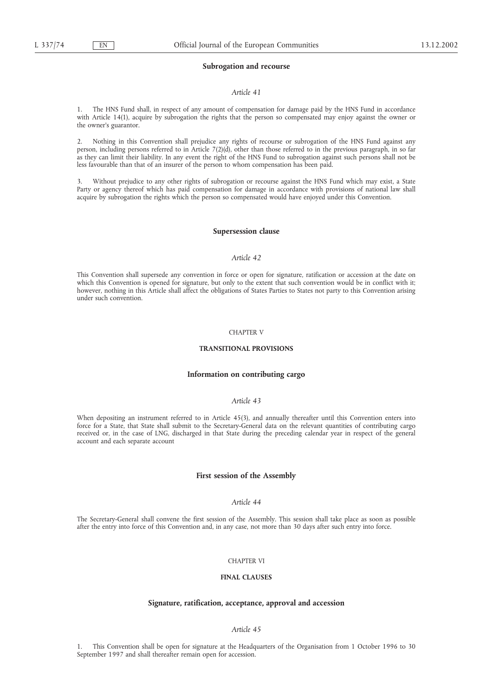### **Subrogation and recourse**

#### *Article 41*

1. The HNS Fund shall, in respect of any amount of compensation for damage paid by the HNS Fund in accordance with Article 14(1), acquire by subrogation the rights that the person so compensated may enjoy against the owner or the owner's guarantor.

2. Nothing in this Convention shall prejudice any rights of recourse or subrogation of the HNS Fund against any person, including persons referred to in Article 7(2)(d), other than those referred to in the previous paragraph, in so far as they can limit their liability. In any event the right of the HNS Fund to subrogation against such persons shall not be less favourable than that of an insurer of the person to whom compensation has been paid.

3. Without prejudice to any other rights of subrogation or recourse against the HNS Fund which may exist, a State Party or agency thereof which has paid compensation for damage in accordance with provisions of national law shall acquire by subrogation the rights which the person so compensated would have enjoyed under this Convention.

### **Supersession clause**

### *Article 42*

This Convention shall supersede any convention in force or open for signature, ratification or accession at the date on which this Convention is opened for signature, but only to the extent that such convention would be in conflict with it; however, nothing in this Article shall affect the obligations of States Parties to States not party to this Convention arising under such convention.

### CHAPTER V

#### **TRANSITIONAL PROVISIONS**

# **Information on contributing cargo**

### *Article 43*

When depositing an instrument referred to in Article 45(3), and annually thereafter until this Convention enters into force for a State, that State shall submit to the Secretary-General data on the relevant quantities of contributing cargo received or, in the case of LNG, discharged in that State during the preceding calendar year in respect of the general account and each separate account

#### **First session of the Assembly**

### *Article 44*

The Secretary-General shall convene the first session of the Assembly. This session shall take place as soon as possible after the entry into force of this Convention and, in any case, not more than 30 days after such entry into force.

### CHAPTER VI

# **FINAL CLAUSES**

### **Signature, ratification, acceptance, approval and accession**

### *Article 45*

1. This Convention shall be open for signature at the Headquarters of the Organisation from 1 October 1996 to 30 September 1997 and shall thereafter remain open for accession.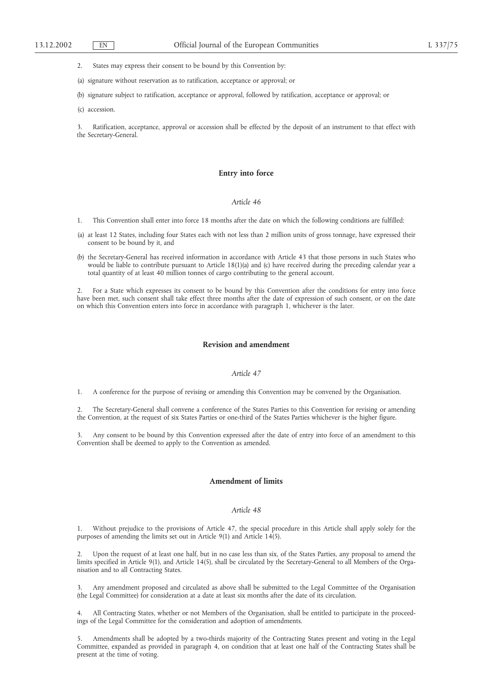2. States may express their consent to be bound by this Convention by:

- (a) signature without reservation as to ratification, acceptance or approval; or
- (b) signature subject to ratification, acceptance or approval, followed by ratification, acceptance or approval; or
- (c) accession.

3. Ratification, acceptance, approval or accession shall be effected by the deposit of an instrument to that effect with the Secretary-General.

#### **Entry into force**

### *Article 46*

- 1. This Convention shall enter into force 18 months after the date on which the following conditions are fulfilled:
- (a) at least 12 States, including four States each with not less than 2 million units of gross tonnage, have expressed their consent to be bound by it, and
- (b) the Secretary-General has received information in accordance with Article 43 that those persons in such States who would be liable to contribute pursuant to Article 18(1)(a) and (c) have received during the preceding calendar year a total quantity of at least 40 million tonnes of cargo contributing to the general account.

2. For a State which expresses its consent to be bound by this Convention after the conditions for entry into force have been met, such consent shall take effect three months after the date of expression of such consent, or on the date on which this Convention enters into force in accordance with paragraph 1, whichever is the later.

### **Revision and amendment**

#### *Article 47*

1. A conference for the purpose of revising or amending this Convention may be convened by the Organisation.

2. The Secretary-General shall convene a conference of the States Parties to this Convention for revising or amending the Convention, at the request of six States Parties or one-third of the States Parties whichever is the higher figure.

3. Any consent to be bound by this Convention expressed after the date of entry into force of an amendment to this Convention shall be deemed to apply to the Convention as amended.

### **Amendment of limits**

### *Article 48*

Without prejudice to the provisions of Article 47, the special procedure in this Article shall apply solely for the purposes of amending the limits set out in Article 9(1) and Article 14(5).

2. Upon the request of at least one half, but in no case less than six, of the States Parties, any proposal to amend the limits specified in Article 9(1), and Article 14(5), shall be circulated by the Secretary-General to all Members of the Organisation and to all Contracting States.

3. Any amendment proposed and circulated as above shall be submitted to the Legal Committee of the Organisation (the Legal Committee) for consideration at a date at least six months after the date of its circulation.

4. All Contracting States, whether or not Members of the Organisation, shall be entitled to participate in the proceedings of the Legal Committee for the consideration and adoption of amendments.

5. Amendments shall be adopted by a two-thirds majority of the Contracting States present and voting in the Legal Committee, expanded as provided in paragraph 4, on condition that at least one half of the Contracting States shall be present at the time of voting.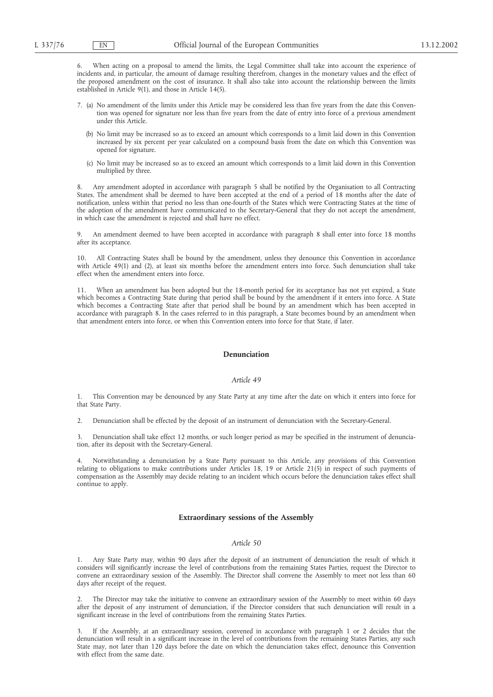6. When acting on a proposal to amend the limits, the Legal Committee shall take into account the experience of incidents and, in particular, the amount of damage resulting therefrom, changes in the monetary values and the effect of the proposed amendment on the cost of insurance. It shall also take into account the relationship between the limits established in Article 9(1), and those in Article 14(5).

- 7. (a) No amendment of the limits under this Article may be considered less than five years from the date this Convention was opened for signature nor less than five years from the date of entry into force of a previous amendment under this Article.
	- (b) No limit may be increased so as to exceed an amount which corresponds to a limit laid down in this Convention increased by six percent per year calculated on a compound basis from the date on which this Convention was opened for signature.
	- (c) No limit may be increased so as to exceed an amount which corresponds to a limit laid down in this Convention multiplied by three.

8. Any amendment adopted in accordance with paragraph 5 shall be notified by the Organisation to all Contracting States. The amendment shall be deemed to have been accepted at the end of a period of 18 months after the date of notification, unless within that period no less than one-fourth of the States which were Contracting States at the time of the adoption of the amendment have communicated to the Secretary-General that they do not accept the amendment, in which case the amendment is rejected and shall have no effect.

9. An amendment deemed to have been accepted in accordance with paragraph 8 shall enter into force 18 months after its acceptance.

10. All Contracting States shall be bound by the amendment, unless they denounce this Convention in accordance with Article 49(1) and (2), at least six months before the amendment enters into force. Such denunciation shall take effect when the amendment enters into force.

11. When an amendment has been adopted but the 18-month period for its acceptance has not yet expired, a State which becomes a Contracting State during that period shall be bound by the amendment if it enters into force. A State which becomes a Contracting State after that period shall be bound by an amendment which has been accepted in accordance with paragraph 8. In the cases referred to in this paragraph, a State becomes bound by an amendment when that amendment enters into force, or when this Convention enters into force for that State, if later.

### **Denunciation**

#### *Article 49*

1. This Convention may be denounced by any State Party at any time after the date on which it enters into force for that State Party.

2. Denunciation shall be effected by the deposit of an instrument of denunciation with the Secretary-General.

3. Denunciation shall take effect 12 months, or such longer period as may be specified in the instrument of denunciation, after its deposit with the Secretary-General.

4. Notwithstanding a denunciation by a State Party pursuant to this Article, any provisions of this Convention relating to obligations to make contributions under Articles 18, 19 or Article 21(5) in respect of such payments of compensation as the Assembly may decide relating to an incident which occurs before the denunciation takes effect shall continue to apply.

### **Extraordinary sessions of the Assembly**

### *Article 50*

1. Any State Party may, within 90 days after the deposit of an instrument of denunciation the result of which it considers will significantly increase the level of contributions from the remaining States Parties, request the Director to convene an extraordinary session of the Assembly. The Director shall convene the Assembly to meet not less than 60 days after receipt of the request.

2. The Director may take the initiative to convene an extraordinary session of the Assembly to meet within 60 days after the deposit of any instrument of denunciation, if the Director considers that such denunciation will result in a significant increase in the level of contributions from the remaining States Parties.

3. If the Assembly, at an extraordinary session, convened in accordance with paragraph 1 or 2 decides that the denunciation will result in a significant increase in the level of contributions from the remaining States Parties, any such State may, not later than 120 days before the date on which the denunciation takes effect, denounce this Convention with effect from the same date.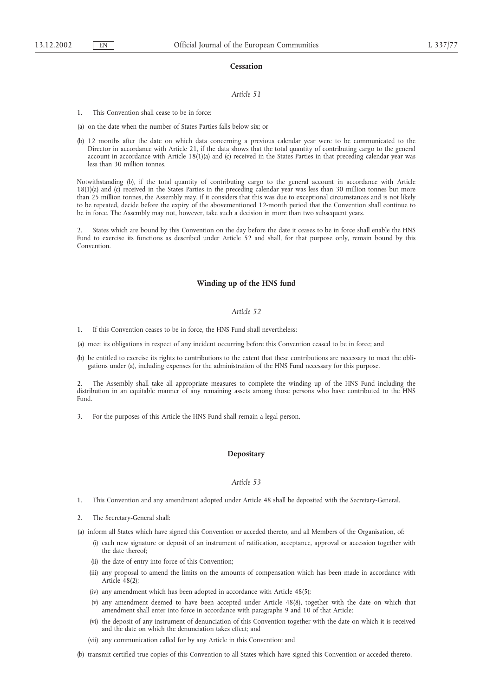#### **Cessation**

#### *Article 51*

- 1. This Convention shall cease to be in force:
- (a) on the date when the number of States Parties falls below six; or
- (b) 12 months after the date on which data concerning a previous calendar year were to be communicated to the Director in accordance with Article 21, if the data shows that the total quantity of contributing cargo to the general account in accordance with Article 18(1)(a) and (c) received in the States Parties in that preceding calendar year was less than 30 million tonnes.

Notwithstanding (b), if the total quantity of contributing cargo to the general account in accordance with Article 18(1)(a) and (c) received in the States Parties in the preceding calendar year was less than 30 million tonnes but more than 25 million tonnes, the Assembly may, if it considers that this was due to exceptional circumstances and is not likely to be repeated, decide before the expiry of the abovementioned 12-month period that the Convention shall continue to be in force. The Assembly may not, however, take such a decision in more than two subsequent years.

2. States which are bound by this Convention on the day before the date it ceases to be in force shall enable the HNS Fund to exercise its functions as described under Article 52 and shall, for that purpose only, remain bound by this Convention.

### **Winding up of the HNS fund**

### *Article 52*

- 1. If this Convention ceases to be in force, the HNS Fund shall nevertheless:
- (a) meet its obligations in respect of any incident occurring before this Convention ceased to be in force; and
- (b) be entitled to exercise its rights to contributions to the extent that these contributions are necessary to meet the obligations under (a), including expenses for the administration of the HNS Fund necessary for this purpose.

2. The Assembly shall take all appropriate measures to complete the winding up of the HNS Fund including the distribution in an equitable manner of any remaining assets among those persons who have contributed to the HNS Fund.

3. For the purposes of this Article the HNS Fund shall remain a legal person.

### **Depositary**

#### *Article 53*

- 1. This Convention and any amendment adopted under Article 48 shall be deposited with the Secretary-General.
- 2. The Secretary-General shall:
- (a) inform all States which have signed this Convention or acceded thereto, and all Members of the Organisation, of:
	- (i) each new signature or deposit of an instrument of ratification, acceptance, approval or accession together with the date thereof;
	- (ii) the date of entry into force of this Convention;
	- (iii) any proposal to amend the limits on the amounts of compensation which has been made in accordance with Article  $48(2)$ ;
	- (iv) any amendment which has been adopted in accordance with Article 48(5);
	- (v) any amendment deemed to have been accepted under Article 48(8), together with the date on which that amendment shall enter into force in accordance with paragraphs 9 and 10 of that Article;
	- (vi) the deposit of any instrument of denunciation of this Convention together with the date on which it is received and the date on which the denunciation takes effect; and
	- (vii) any communication called for by any Article in this Convention; and
- (b) transmit certified true copies of this Convention to all States which have signed this Convention or acceded thereto.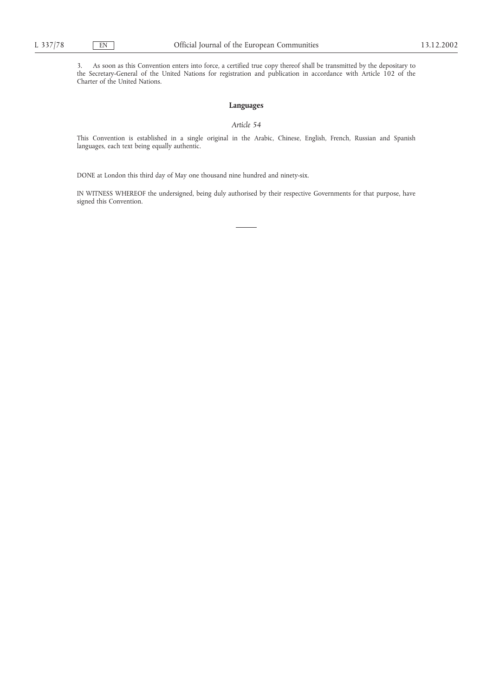3. As soon as this Convention enters into force, a certified true copy thereof shall be transmitted by the depositary to the Secretary-General of the United Nations for registration and publication in accordance with Article 102 of the Charter of the United Nations.

# **Languages**

# *Article 54*

This Convention is established in a single original in the Arabic, Chinese, English, French, Russian and Spanish languages, each text being equally authentic.

DONE at London this third day of May one thousand nine hundred and ninety-six.

IN WITNESS WHEREOF the undersigned, being duly authorised by their respective Governments for that purpose, have signed this Convention.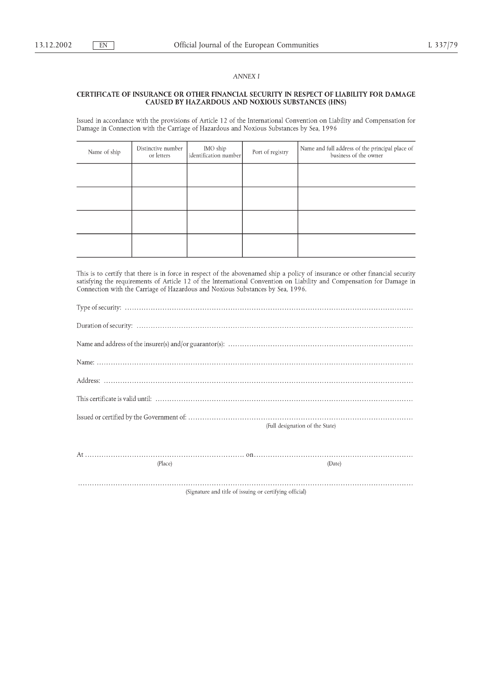### *ANNEX I*

### CERTIFICATE OF INSURANCE OR OTHER FINANCIAL SECURITY IN RESPECT OF LIABILITY FOR DAMAGE CAUSED BY HAZARDOUS AND NOXIOUS SUBSTANCES (HNS)

Issued in accordance with the provisions of Article 12 of the International Convention on Liability and Compensation for Damage in Connection with the Carriage of Hazardous and Noxious Substances by Sea, 1996

| Name of ship | Distinctive number<br>or letters | IMO ship<br>identification number | Port of registry | Name and full address of the principal place of<br>business of the owner |
|--------------|----------------------------------|-----------------------------------|------------------|--------------------------------------------------------------------------|
|              |                                  |                                   |                  |                                                                          |
|              |                                  |                                   |                  |                                                                          |
|              |                                  |                                   |                  |                                                                          |
|              |                                  |                                   |                  |                                                                          |

This is to certify that there is in force in respect of the abovenamed ship a policy of insurance or other financial security satisfying the requirements of Article 12 of the International Convention on Liability and Compe Connection with the Carriage of Hazardous and Noxious Substances by Sea, 1996.

|                                                         | (Full designation of the State) |  |  |  |
|---------------------------------------------------------|---------------------------------|--|--|--|
|                                                         |                                 |  |  |  |
| (Place)                                                 | (Date)                          |  |  |  |
| (Signature and title of issuing or certifying official) |                                 |  |  |  |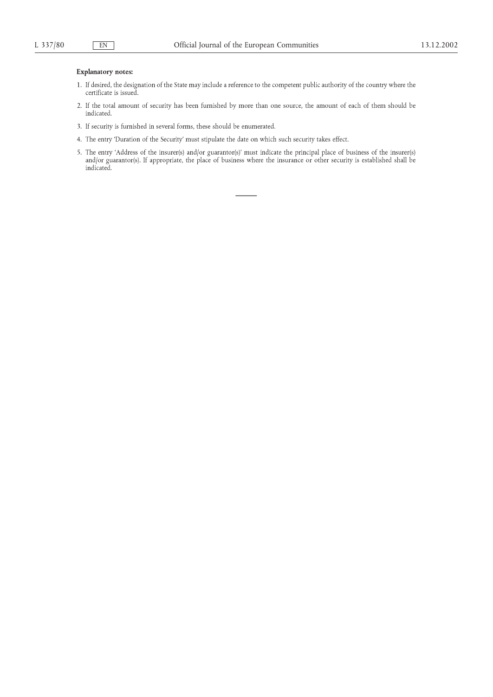### **Explanatory notes:**

- 1. If desired, the designation of the State may include a reference to the competent public authority of the country where the certificate is issued.
- 2. If the total amount of security has been furnished by more than one source, the amount of each of them should be indicated.
- 3. If security is furnished in several forms, these should be enumerated.
- 4. The entry 'Duration of the Security' must stipulate the date on which such security takes effect.
- 5. The entry 'Address of the insurer(s) and/or guarantor(s)' must indicate the principal place of business of the insurer(s) and/or guarantor(s). If appropriate, the place of business where the insurance or other security indicated.